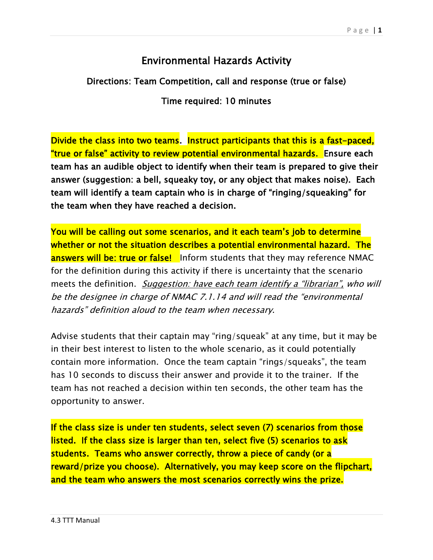## Environmental Hazards Activity

Directions: Team Competition, call and response (true or false)

Time required: 10 minutes

Divide the class into two teams. Instruct participants that this is a fast-paced, "true or false" activity to review potential environmental hazards. Ensure each team has an audible object to identify when their team is prepared to give their answer (suggestion: a bell, squeaky toy, or any object that makes noise). Each team will identify a team captain who is in charge of "ringing/squeaking" for the team when they have reached a decision.

You will be calling out some scenarios, and it each team's job to determine whether or not the situation describes a potential environmental hazard. The answers will be: true or false! Inform students that they may reference NMAC for the definition during this activity if there is uncertainty that the scenario meets the definition. Suggestion: have each team identify a "librarian", who will be the designee in charge of NMAC 7.1.14 and will read the "environmental hazards" definition aloud to the team when necessary.

Advise students that their captain may "ring/squeak" at any time, but it may be in their best interest to listen to the whole scenario, as it could potentially contain more information. Once the team captain "rings/squeaks", the team has 10 seconds to discuss their answer and provide it to the trainer. If the team has not reached a decision within ten seconds, the other team has the opportunity to answer.

If the class size is under ten students, select seven (7) scenarios from those listed. If the class size is larger than ten, select five (5) scenarios to ask students. Teams who answer correctly, throw a piece of candy (or a reward/prize you choose). Alternatively, you may keep score on the flipchart, and the team who answers the most scenarios correctly wins the prize.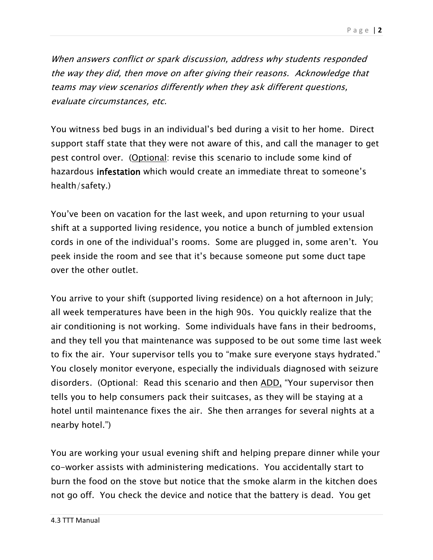When answers conflict or spark discussion, address why students responded the way they did, then move on after giving their reasons. Acknowledge that teams may view scenarios differently when they ask different questions, evaluate circumstances, etc.

You witness bed bugs in an individual's bed during a visit to her home. Direct support staff state that they were not aware of this, and call the manager to get pest control over. (Optional: revise this scenario to include some kind of hazardous infestation which would create an immediate threat to someone's health/safety.)

You've been on vacation for the last week, and upon returning to your usual shift at a supported living residence, you notice a bunch of jumbled extension cords in one of the individual's rooms. Some are plugged in, some aren't. You peek inside the room and see that it's because someone put some duct tape over the other outlet.

You arrive to your shift (supported living residence) on a hot afternoon in July; all week temperatures have been in the high 90s. You quickly realize that the air conditioning is not working. Some individuals have fans in their bedrooms, and they tell you that maintenance was supposed to be out some time last week to fix the air. Your supervisor tells you to "make sure everyone stays hydrated." You closely monitor everyone, especially the individuals diagnosed with seizure disorders. (Optional: Read this scenario and then ADD, "Your supervisor then tells you to help consumers pack their suitcases, as they will be staying at a hotel until maintenance fixes the air. She then arranges for several nights at a nearby hotel.")

You are working your usual evening shift and helping prepare dinner while your co-worker assists with administering medications. You accidentally start to burn the food on the stove but notice that the smoke alarm in the kitchen does not go off. You check the device and notice that the battery is dead. You get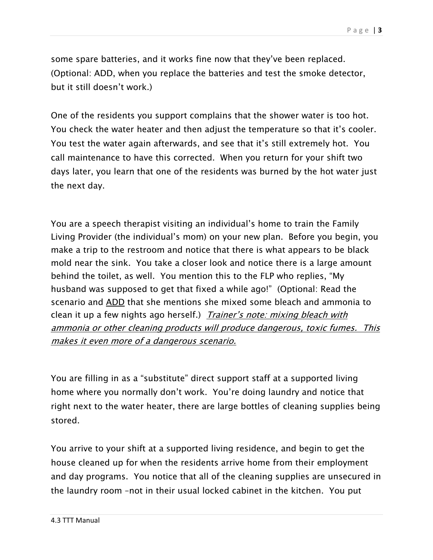some spare batteries, and it works fine now that they've been replaced. (Optional: ADD, when you replace the batteries and test the smoke detector, but it still doesn't work.)

One of the residents you support complains that the shower water is too hot. You check the water heater and then adjust the temperature so that it's cooler. You test the water again afterwards, and see that it's still extremely hot. You call maintenance to have this corrected. When you return for your shift two days later, you learn that one of the residents was burned by the hot water just the next day.

You are a speech therapist visiting an individual's home to train the Family Living Provider (the individual's mom) on your new plan. Before you begin, you make a trip to the restroom and notice that there is what appears to be black mold near the sink. You take a closer look and notice there is a large amount behind the toilet, as well. You mention this to the FLP who replies, "My husband was supposed to get that fixed a while ago!" (Optional: Read the scenario and ADD that she mentions she mixed some bleach and ammonia to clean it up a few nights ago herself.) Trainer's note: mixing bleach with ammonia or other cleaning products will produce dangerous, toxic fumes. This makes it even more of a dangerous scenario.

You are filling in as a "substitute" direct support staff at a supported living home where you normally don't work. You're doing laundry and notice that right next to the water heater, there are large bottles of cleaning supplies being stored.

You arrive to your shift at a supported living residence, and begin to get the house cleaned up for when the residents arrive home from their employment and day programs. You notice that all of the cleaning supplies are unsecured in the laundry room –not in their usual locked cabinet in the kitchen. You put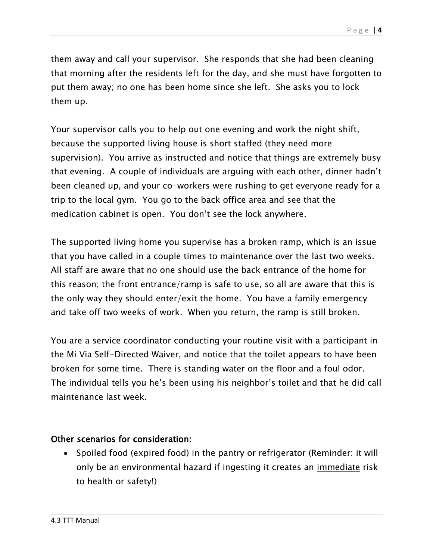them away and call your supervisor. She responds that she had been cleaning that morning after the residents left for the day, and she must have forgotten to put them away; no one has been home since she left. She asks you to lock them up.

Your supervisor calls you to help out one evening and work the night shift, because the supported living house is short staffed (they need more supervision). You arrive as instructed and notice that things are extremely busy that evening. A couple of individuals are arguing with each other, dinner hadn't been cleaned up, and your co-workers were rushing to get everyone ready for a trip to the local gym. You go to the back office area and see that the medication cabinet is open. You don't see the lock anywhere.

The supported living home you supervise has a broken ramp, which is an issue that you have called in a couple times to maintenance over the last two weeks. All staff are aware that no one should use the back entrance of the home for this reason; the front entrance/ramp is safe to use, so all are aware that this is the only way they should enter/exit the home. You have a family emergency and take off two weeks of work. When you return, the ramp is still broken.

You are a service coordinator conducting your routine visit with a participant in the Mi Via Self-Directed Waiver, and notice that the toilet appears to have been broken for some time. There is standing water on the floor and a foul odor. The individual tells you he's been using his neighbor's toilet and that he did call maintenance last week.

## Other scenarios for consideration:

• Spoiled food (expired food) in the pantry or refrigerator (Reminder: it will only be an environmental hazard if ingesting it creates an immediate risk to health or safety!)